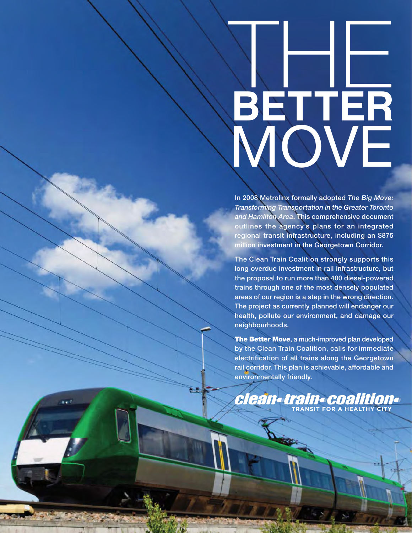# THE **BETTER** MOVE

**In 2008 Metrolinx formally adopted** *The Big Move: Transforming Transportation in the Greater Toronto and Hamilton Area***. This comprehensive document outlines the agency's plans for an integrated regional transit infrastructure, including an \$875 million investment in the Georgetown Corridor.** 

**The Clean Train Coalition strongly supports this long overdue investment in rail infrastructure, but the proposal to run more than 400 diesel-powered trains through one of the most densely populated areas of our region is a step in the wrong direction. The project as currently planned will endanger our health, pollute our environment, and damage our neighbourhoods.**

**The Better Move, a much-improved plan developed by the Clean Train Coalition, calls for immediate electrification of all trains along the Georgetown rail corridor. This plan is achievable, affordable and environmentally friendly.**

Clean=train=coalition=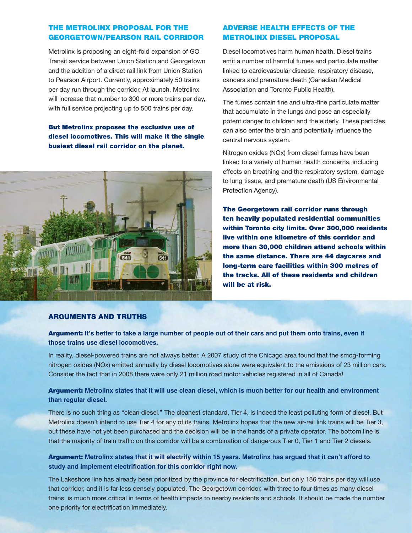#### THE METROLINX PROPOSAL FOR THE **ADVERSE HEALTH EFFECTS OF THE**<br>GEORGETOWN/PEARSON RAIL CORRIDOR **METROLINX DIESEL PROPOSAL GEORGETOWN/PEARSON RAIL CORRIDOR**

Metrolinx is proposing an eight-fold expansion of GO Transit service between Union Station and Georgetown and the addition of a direct rail link from Union Station to Pearson Airport. Currently, approximately 50 trains per day run through the corridor. At launch, Metrolinx will increase that number to 300 or more trains per day, with full service projecting up to 500 trains per day.

#### **But Metrolinx proposes the exclusive use of diesel locomotives. This will make it the single busiest diesel rail corridor on the planet.**



### **METROLINX DIESEL PROPOSAL**

Diesel locomotives harm human health. Diesel trains emit a number of harmful fumes and particulate matter linked to cardiovascular disease, respiratory disease, cancers and premature death (Canadian Medical Association and Toronto Public Health).

The fumes contain fine and ultra-fine particulate matter that accumulate in the lungs and pose an especially potent danger to children and the elderly. These particles can also enter the brain and potentially influence the central nervous system.

Nitrogen oxides (NOx) from diesel fumes have been linked to a variety of human health concerns, including effects on breathing and the respiratory system, damage to lung tissue, and premature death (US Environmental Protection Agency).

**The Georgetown rail corridor runs through ten heavily populated residential communities within Toronto city limits. Over 300,000 residents live within one kilometre of this corridor and more than 30,000 children attend schools within the same distance. There are 44 daycares and long-term care facilities within 300 metres of the tracks. All of these residents and children will be at risk.**

#### **ARGUMENTS AND TRUTHS**

**Argument: It's better to take a large number of people out of their cars and put them onto trains, even if those trains use diesel locomotives.**

In reality, diesel-powered trains are not always better. A 2007 study of the Chicago area found that the smog-forming nitrogen oxides (NOx) emitted annually by diesel locomotives alone were equivalent to the emissions of 23 million cars. Consider the fact that in 2008 there were only 21 million road motor vehicles registered in all of Canada!

#### **Argument: Metrolinx states that it will use clean diesel, which is much better for our health and environment than regular diesel.**

There is no such thing as "clean diesel." The cleanest standard, Tier 4, is indeed the least polluting form of diesel. But Metrolinx doesn't intend to use Tier 4 for any of its trains. Metrolinx hopes that the new air-rail link trains will be Tier 3, but these have not yet been purchased and the decision will be in the hands of a private operator. The bottom line is that the majority of train traffic on this corridor will be a combination of dangerous Tier 0, Tier 1 and Tier 2 diesels.

#### **Argument: Metrolinx states that it will electrify within 15 years. Metrolinx has argued that it can't afford to study and implement electrification for this corridor right now.**

The Lakeshore line has already been prioritized by the province for electrification, but only 136 trains per day will use that corridor, and it is far less densely populated. The Georgetown corridor, with three to four times as many diesel trains, is much more critical in terms of health impacts to nearby residents and schools. It should be made the number one priority for electrification immediately.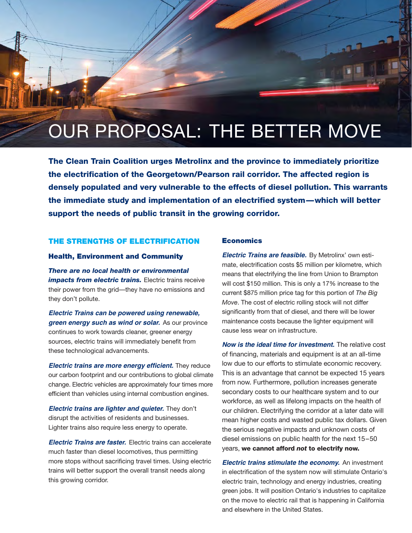## OUR PROPOSAL: THE BETTER MOVE

**The Clean Train Coalition urges Metrolinx and the province to immediately prioritize the electrification of the Georgetown/Pearson rail corridor. The affected region is densely populated and very vulnerable to the effects of diesel pollution. This warrants the immediate study and implementation of an electrified system—which will better support the needs of public transit in the growing corridor.**

#### **THE STRENGTHS OF ELECTRIFICATION**

#### **Health, Environment and Community**

*There are no local health or environmental impacts from electric trains.* Electric trains receive their power from the grid—they have no emissions and they don't pollute.

**Electric Trains can be powered using renewable, green energy such as wind or solar.** As our province continues to work towards cleaner, greener energy sources, electric trains will immediately benefit from these technological advancements.

**Electric trains are more energy efficient.** They reduce our carbon footprint and our contributions to global climate change. Electric vehicles are approximately four times more efficient than vehicles using internal combustion engines.

**Electric trains are lighter and quieter.** They don't disrupt the activities of residents and businesses. Lighter trains also require less energy to operate.

**Electric Trains are faster.** Electric trains can accelerate much faster than diesel locomotives, thus permitting more stops without sacrificing travel times. Using electric trains will better support the overall transit needs along this growing corridor.

#### **Economics**

**Electric Trains are feasible.** By Metrolinx' own estimate, electrification costs \$5 million per kilometre, which means that electrifying the line from Union to Brampton will cost \$150 million. This is only a 17% increase to the current \$875 million price tag for this portion of *The Big Move*. The cost of electric rolling stock will not differ significantly from that of diesel, and there will be lower maintenance costs because the lighter equipment will cause less wear on infrastructure.

**Now is the ideal time for investment.** The relative cost of financing, materials and equipment is at an all-time low due to our efforts to stimulate economic recovery. This is an advantage that cannot be expected 15 years from now. Furthermore, pollution increases generate secondary costs to our healthcare system and to our workforce, as well as lifelong impacts on the health of our children. Electrifying the corridor at a later date will mean higher costs and wasted public tax dollars. Given the serious negative impacts and unknown costs of diesel emissions on public health for the next 15–50 years, **we cannot afford** *not* **to electrify now.**

**Electric trains stimulate the economy.** An investment in electrification of the system now will stimulate Ontario's electric train, technology and energy industries, creating green jobs. It will position Ontario's industries to capitalize on the move to electric rail that is happening in California and elsewhere in the United States.